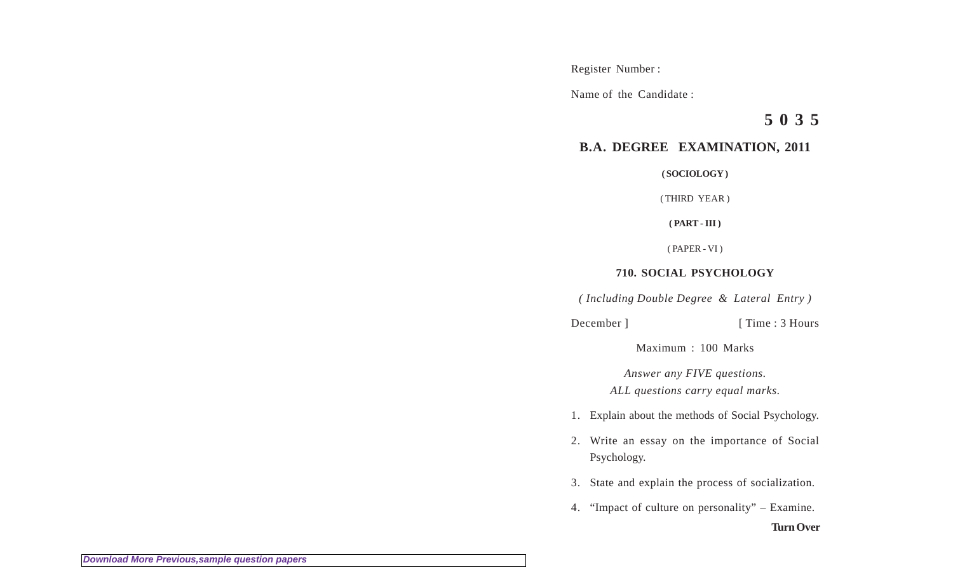Register Number :

Name of the Candidate :

**5 0 3 5**

## **B.A. DEGREE EXAMINATION, 2011**

**( SOCIOLOGY )**

( THIRD YEAR )

**( PART - III )**

( PAPER - VI )

## **710. SOCIAL PSYCHOLOGY**

*( Including Double Degree & Lateral Entry )*

December ] [ Time : 3 Hours

Maximum : 100 Marks

*Answer any FIVE questions. ALL questions carry equal marks.*

- 1. Explain about the methods of Social Psychology.
- 2. Write an essay on the importance of Social Psychology.
- 3. State and explain the process of socialization.
- 4. "Impact of culture on personality" Examine.

**Turn Over**